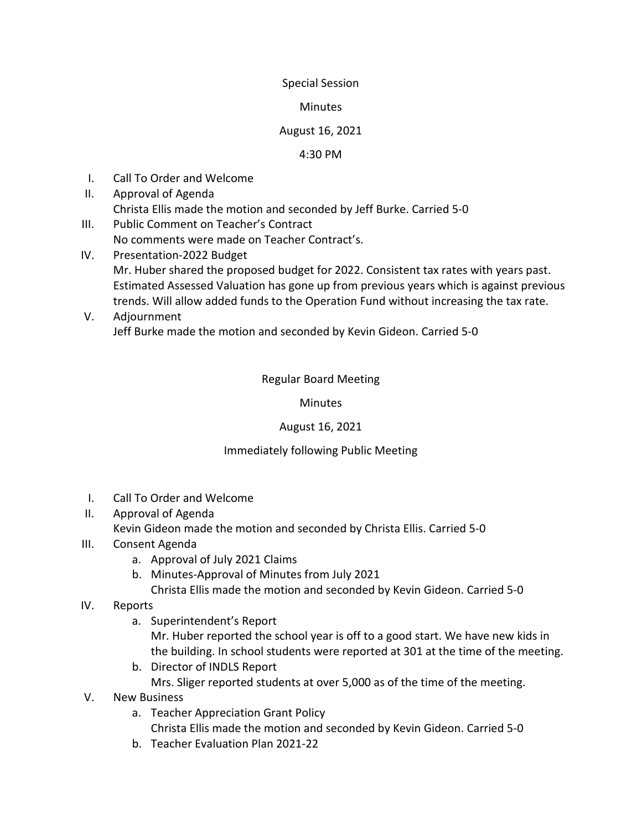## Special Session

#### **Minutes**

## August 16, 2021

#### 4:30 PM

- I. Call To Order and Welcome
- II. Approval of Agenda Christa Ellis made the motion and seconded by Jeff Burke. Carried 5-0
- III. Public Comment on Teacher's Contract No comments were made on Teacher Contract's.
- IV. Presentation-2022 Budget Mr. Huber shared the proposed budget for 2022. Consistent tax rates with years past. Estimated Assessed Valuation has gone up from previous years which is against previous trends. Will allow added funds to the Operation Fund without increasing the tax rate.
- V. Adjournment Jeff Burke made the motion and seconded by Kevin Gideon. Carried 5-0

# Regular Board Meeting

## **Minutes**

# August 16, 2021

## Immediately following Public Meeting

- I. Call To Order and Welcome
- II. Approval of Agenda

Kevin Gideon made the motion and seconded by Christa Ellis. Carried 5-0

- III. Consent Agenda
	- a. Approval of July 2021 Claims
	- b. Minutes-Approval of Minutes from July 2021
		- Christa Ellis made the motion and seconded by Kevin Gideon. Carried 5-0
- IV. Reports
	- a. Superintendent's Report

Mr. Huber reported the school year is off to a good start. We have new kids in the building. In school students were reported at 301 at the time of the meeting.

- b. Director of INDLS Report Mrs. Sliger reported students at over 5,000 as of the time of the meeting.
- V. New Business
	- a. Teacher Appreciation Grant Policy Christa Ellis made the motion and seconded by Kevin Gideon. Carried 5-0
	- b. Teacher Evaluation Plan 2021-22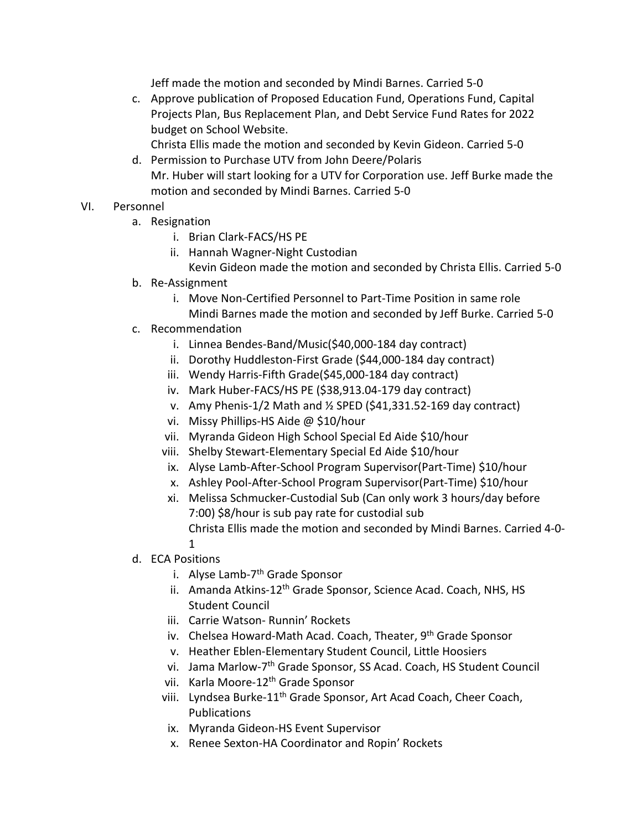Jeff made the motion and seconded by Mindi Barnes. Carried 5-0

c. Approve publication of Proposed Education Fund, Operations Fund, Capital Projects Plan, Bus Replacement Plan, and Debt Service Fund Rates for 2022 budget on School Website.

Christa Ellis made the motion and seconded by Kevin Gideon. Carried 5-0

d. Permission to Purchase UTV from John Deere/Polaris Mr. Huber will start looking for a UTV for Corporation use. Jeff Burke made the motion and seconded by Mindi Barnes. Carried 5-0

# VI. Personnel

- a. Resignation
	- i. Brian Clark-FACS/HS PE
	- ii. Hannah Wagner-Night Custodian
		- Kevin Gideon made the motion and seconded by Christa Ellis. Carried 5-0
- b. Re-Assignment
	- i. Move Non-Certified Personnel to Part-Time Position in same role Mindi Barnes made the motion and seconded by Jeff Burke. Carried 5-0
- c. Recommendation
	- i. Linnea Bendes-Band/Music(\$40,000-184 day contract)
	- ii. Dorothy Huddleston-First Grade (\$44,000-184 day contract)
	- iii. Wendy Harris-Fifth Grade(\$45,000-184 day contract)
	- iv. Mark Huber-FACS/HS PE (\$38,913.04-179 day contract)
	- v. Amy Phenis-1/2 Math and ½ SPED (\$41,331.52-169 day contract)
	- vi. Missy Phillips-HS Aide @ \$10/hour
	- vii. Myranda Gideon High School Special Ed Aide \$10/hour
	- viii. Shelby Stewart-Elementary Special Ed Aide \$10/hour
	- ix. Alyse Lamb-After-School Program Supervisor(Part-Time) \$10/hour
	- x. Ashley Pool-After-School Program Supervisor(Part-Time) \$10/hour
	- xi. Melissa Schmucker-Custodial Sub (Can only work 3 hours/day before 7:00) \$8/hour is sub pay rate for custodial sub Christa Ellis made the motion and seconded by Mindi Barnes. Carried 4-0- 1
- d. ECA Positions
	- i. Alyse Lamb-7<sup>th</sup> Grade Sponsor
	- ii. Amanda Atkins-12<sup>th</sup> Grade Sponsor, Science Acad. Coach, NHS, HS Student Council
	- iii. Carrie Watson- Runnin' Rockets
	- iv. Chelsea Howard-Math Acad. Coach, Theater, 9<sup>th</sup> Grade Sponsor
	- v. Heather Eblen-Elementary Student Council, Little Hoosiers
	- vi. Jama Marlow-7th Grade Sponsor, SS Acad. Coach, HS Student Council
	- vii. Karla Moore-12<sup>th</sup> Grade Sponsor
	- viii. Lyndsea Burke-11<sup>th</sup> Grade Sponsor, Art Acad Coach, Cheer Coach, Publications
	- ix. Myranda Gideon-HS Event Supervisor
	- x. Renee Sexton-HA Coordinator and Ropin' Rockets